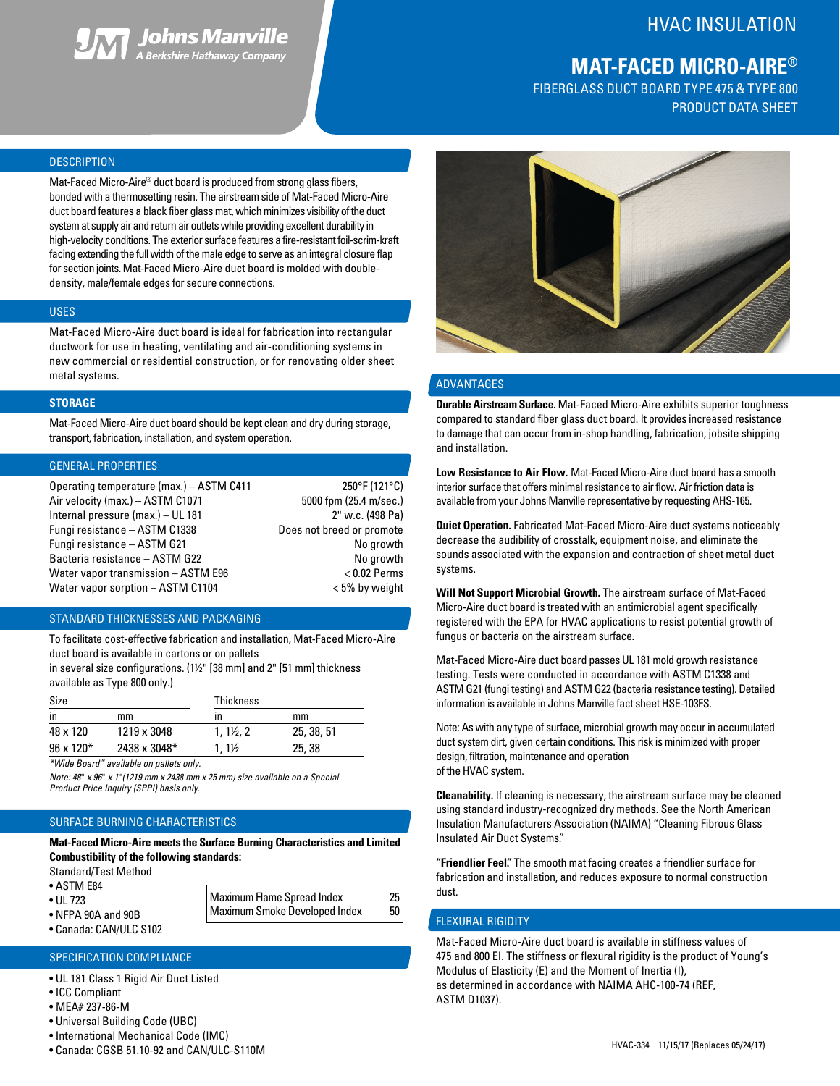

# HVAC INSULATION

# **MAT-FACED MICRO-AIRE®**

FIBERGLASS DUCT BOARD TYPE 475 & TYPE 800 PRODUCT DATA SHEET

# **DESCRIPTION**

Mat-Faced Micro-Aire® duct board is produced from strong glass fibers, bonded with a thermosetting resin. The airstream side of Mat-Faced Micro-Aire duct board features a black fiber glass mat, which minimizes visibility of the duct system at supply air and return air outlets while providing excellent durability in high-velocity conditions. The exterior surface features a fire-resistant foil-scrim-kraft facing extending the full width of the male edge to serve as an integral closure flap for section joints. Mat-Faced Micro-Aire duct board is molded with doubledensity, male/female edges for secure connections.

#### USES

Mat-Faced Micro-Aire duct board is ideal for fabrication into rectangular ductwork for use in heating, ventilating and air-conditioning systems in new commercial or residential construction, or for renovating older sheet metal systems.

#### **STORAGE**

Mat-Faced Micro-Aire duct board should be kept clean and dry during storage, transport, fabrication, installation, and system operation.

# GENERAL PROPERTIES

| Operating temperature (max.) - ASTM C411 | 250°F (121°C)             |
|------------------------------------------|---------------------------|
| Air velocity (max.) - ASTM C1071         | 5000 fpm (25.4 m/sec.)    |
| Internal pressure (max.) - UL 181        | 2" w.c. (498 Pa)          |
| Fungi resistance - ASTM C1338            | Does not breed or promote |
| Fungi resistance - ASTM G21              | No growth                 |
| Bacteria resistance - ASTM G22           | No growth                 |
| Water vapor transmission - ASTM E96      | $< 0.02$ Perms            |
| Water vapor sorption - ASTM C1104        | $< 5\%$ by weight         |

#### STANDARD THICKNESSES AND PACKAGING

To facilitate cost-effective fabrication and installation, Mat-Faced Micro-Aire duct board is available in cartons or on pallets

in several size configurations. (1½" [38 mm] and 2" [51 mm] thickness available as Type 800 only.)

| Size                |                     | <b>Thickness</b>     |            |  |  |
|---------------------|---------------------|----------------------|------------|--|--|
| in                  | mm                  | ın                   | mm         |  |  |
| 48 x 120            | 1219 x 3048         | $1.1\frac{1}{2}$ . 2 | 25, 38, 51 |  |  |
| $96 \times 120^{*}$ | $2438 \times 3048*$ | $1.1\%$              | 25, 38     |  |  |

*\*Wide Board™ available on pallets only.*

*Note: 48*" *x 96*" *x 1*"*(1219 mm x 2438 mm x 25 mm) size available on a Special Product Price Inquiry (SPPI) basis only.*

# SURFACE BURNING CHARACTERISTICS

**Mat-Faced Micro-Aire meets the Surface Burning Characteristics and Limited Combustibility of the following standards:**

> Maximum Flame Spread Index 25 Maximum Smoke Developed Index 50

Standard/Test Method

- ASTM E84
- UL 723
- NFPA 90A and 90B
- Canada: CAN/ULC S102

# SPECIFICATION COMPLIANCE

- UL 181 Class 1 Rigid Air Duct Listed
- ICC Compliant
- MEA# 237-86-M
- Universal Building Code (UBC)
- International Mechanical Code (IMC)
- Canada: CGSB 51.10-92 and CAN/ULC-S110M https://www.access.com/canada: CGSB 51.10-92 and CAN/ULC-S110M https://www.access.com/canada/www.access.com/canada/www.access.com/canada/www.access.com/canada/www.access.com/canada



# ADVANTAGES

**Durable Airstream Surface.** Mat-Faced Micro-Aire exhibits superior toughness compared to standard fiber glass duct board. It provides increased resistance to damage that can occur from in-shop handling, fabrication, jobsite shipping and installation.

**Low Resistance to Air Flow.** Mat-Faced Micro-Aire duct board has a smooth interior surface that offers minimal resistance to air flow. Air friction data is available from your Johns Manville representative by requesting AHS-165.

**Quiet Operation.** Fabricated Mat-Faced Micro-Aire duct systems noticeably decrease the audibility of crosstalk, equipment noise, and eliminate the sounds associated with the expansion and contraction of sheet metal duct systems.

**Will Not Support Microbial Growth.** The airstream surface of Mat-Faced Micro-Aire duct board is treated with an antimicrobial agent specifically registered with the EPA for HVAC applications to resist potential growth of fungus or bacteria on the airstream surface.

Mat-Faced Micro-Aire duct board passes UL 181 mold growth resistance testing. Tests were conducted in accordance with ASTM C1338 and ASTM G21 (fungi testing) and ASTM G22 (bacteria resistance testing). Detailed information is available in Johns Manville fact sheet HSE-103FS.

Note: As with any type of surface, microbial growth may occur in accumulated duct system dirt, given certain conditions. This risk is minimized with proper design, filtration, maintenance and operation of the HVAC system.

**Cleanability.** If cleaning is necessary, the airstream surface may be cleaned using standard industry-recognized dry methods. See the North American Insulation Manufacturers Association (NAIMA) "Cleaning Fibrous Glass Insulated Air Duct Systems".

**"Friendlier Feel".** The smooth mat facing creates a friendlier surface for fabrication and installation, and reduces exposure to normal construction dust.

# FLEXURAL RIGIDITY

Mat-Faced Micro-Aire duct board is available in stiffness values of 475 and 800 EI. The stiffness or flexural rigidity is the product of Young's Modulus of Elasticity (E) and the Moment of Inertia (I), as determined in accordance with NAIMA AHC-100-74 (REF, ASTM D1037).